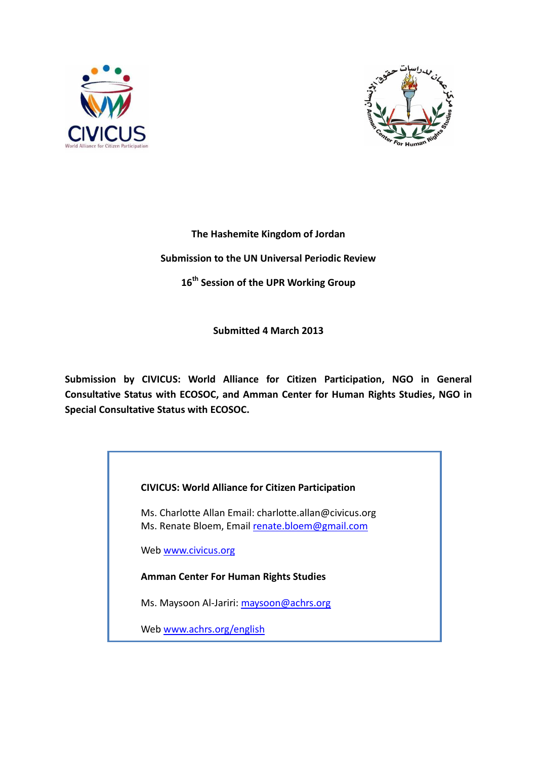



# **The Hashemite Kingdom of Jordan Submission to the UN Universal Periodic Review 16th Session of the UPR Working Group**

**Submitted 4 March 2013**

**Submission by CIVICUS: World Alliance for Citizen Participation, NGO in General Consultative Status with ECOSOC, and Amman Center for Human Rights Studies, NGO in Special Consultative Status with ECOSOC.**

| <b>CIVICUS: World Alliance for Citizen Participation</b>            |
|---------------------------------------------------------------------|
| Ms. Charlotte Allan Email: charlotte.allan@civicus.org              |
| Ms. Renate Bloem, Email renate.bloem@gmail.com                      |
| Web www.civicus.org<br><b>Amman Center For Human Rights Studies</b> |
| Ms. Maysoon Al-Jariri: maysoon@achrs.org                            |
| Web www.achrs.org/english                                           |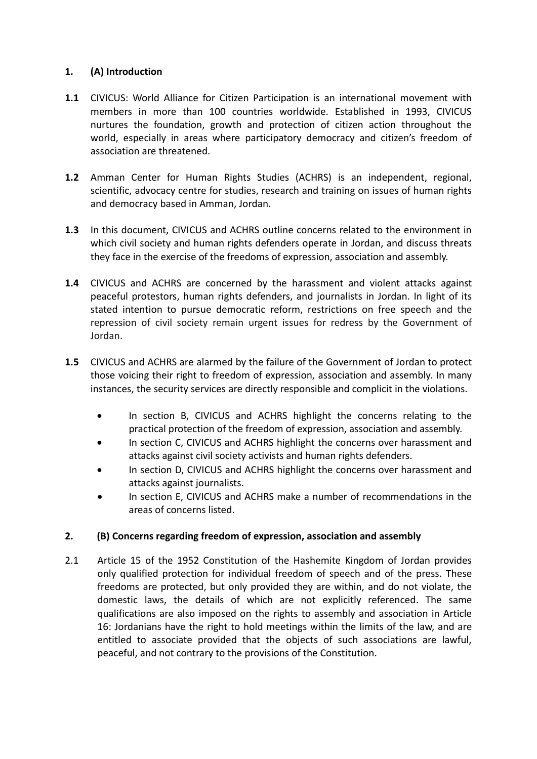# **1. (A) Introduction**

- **1.1** CIVICUS: World Alliance for Citizen Participation is an international movement with members in more than 100 countries worldwide. Established in 1993, CIVICUS nurtures the foundation, growth and protection of citizen action throughout the world, especially in areas where participatory democracy and citizen's freedom of association are threatened.
- **1.2** Amman Center for Human Rights Studies (ACHRS) is an independent, regional, scientific, advocacy centre for studies, research and training on issues of human rights and democracy based in Amman, Jordan.
- **1.3** In this document, CIVICUS and ACHRS outline concerns related to the environment in which civil society and human rights defenders operate in Jordan, and discuss threats they face in the exercise of the freedoms of expression, association and assembly.
- **1.4** CIVICUS and ACHRS are concerned by the harassment and violent attacks against peaceful protestors, human rights defenders, and journalists in Jordan. In light of its stated intention to pursue democratic reform, restrictions on free speech and the repression of civil society remain urgent issues for redress by the Government of Jordan.
- **1.5** CIVICUS and ACHRS are alarmed by the failure of the Government of Jordan to protect those voicing their right to freedom of expression, association and assembly. In many instances, the security services are directly responsible and complicit in the violations.
	- In section B, CIVICUS and ACHRS highlight the concerns relating to the practical protection of the freedom of expression, association and assembly.
	- In section C, CIVICUS and ACHRS highlight the concerns over harassment and attacks against civil society activists and human rights defenders.
	- In section D, CIVICUS and ACHRS highlight the concerns over harassment and attacks against journalists.
	- In section E, CIVICUS and ACHRS make a number of recommendations in the areas of concerns listed.

## **2. (B) Concerns regarding freedom of expression, association and assembly**

2.1 Article 15 of the 1952 Constitution of the Hashemite Kingdom of Jordan provides only qualified protection for individual freedom of speech and of the press. These freedoms are protected, but only provided they are within, and do not violate, the domestic laws, the details of which are not explicitly referenced. The same qualifications are also imposed on the rights to assembly and association in Article 16: Jordanians have the right to hold meetings within the limits of the law, and are entitled to associate provided that the objects of such associations are lawful, peaceful, and not contrary to the provisions of the Constitution.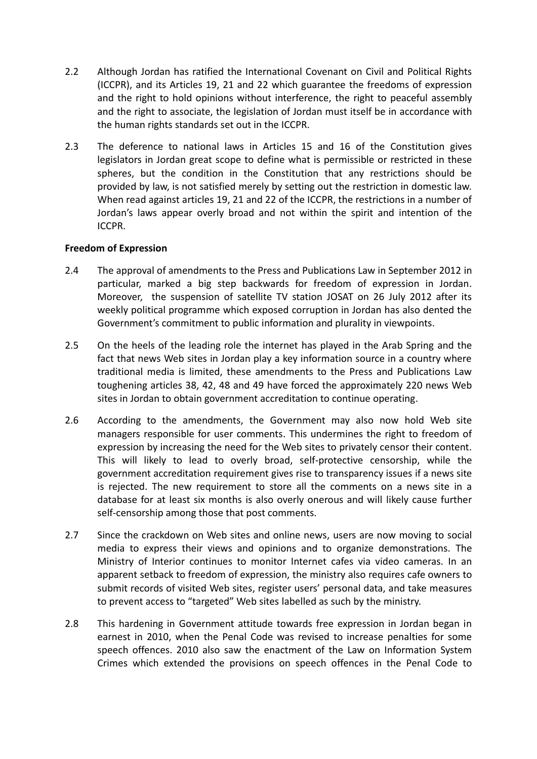- 2.2 Although Jordan has ratified the International Covenant on Civil and Political Rights (ICCPR), and its Articles 19, 21 and 22 which guarantee the freedoms of expression and the right to hold opinions without interference, the right to peaceful assembly and the right to associate, the legislation of Jordan must itself be in accordance with the human rights standards set out in the ICCPR.
- 2.3 The deference to national laws in Articles 15 and 16 of the Constitution gives legislators in Jordan great scope to define what is permissible or restricted in these spheres, but the condition in the Constitution that any restrictions should be provided by law, is not satisfied merely by setting out the restriction in domestic law. When read against articles 19, 21 and 22 of the ICCPR, the restrictions in a number of Jordan's laws appear overly broad and not within the spirit and intention of the ICCPR.

#### **Freedom of Expression**

- 2.4 The approval of amendments to the Press and Publications Law in September 2012 in particular, marked a big step backwards for freedom of expression in Jordan. Moreover, the suspension of satellite TV station JOSAT on 26 July 2012 after its weekly political programme which exposed corruption in Jordan has also dented the Government's commitment to public information and plurality in viewpoints.
- 2.5 On the heels of the leading role the internet has played in the Arab Spring and the fact that news Web sites in Jordan play a key information source in a country where traditional media is limited, these amendments to the Press and Publications Law toughening articles 38, 42, 48 and 49 have forced the approximately 220 news Web sites in Jordan to obtain government accreditation to continue operating.
- 2.6 According to the amendments, the Government may also now hold Web site managers responsible for user comments. This undermines the right to freedom of expression by increasing the need for the Web sites to privately censor their content. This will likely to lead to overly broad, self-protective censorship, while the government accreditation requirement gives rise to transparency issues if a news site is rejected. The new requirement to store all the comments on a news site in a database for at least six months is also overly onerous and will likely cause further self-censorship among those that post comments.
- 2.7 Since the crackdown on Web sites and online news, users are now moving to social media to express their views and opinions and to organize demonstrations. The Ministry of Interior continues to monitor Internet cafes via video cameras. In an apparent setback to freedom of expression, the ministry also requires cafe owners to submit records of visited Web sites, register users' personal data, and take measures to prevent access to "targeted" Web sites labelled as such by the ministry.
- 2.8 This hardening in Government attitude towards free expression in Jordan began in earnest in 2010, when the Penal Code was revised to increase penalties for some speech offences. 2010 also saw the enactment of the Law on Information System Crimes which extended the provisions on speech offences in the Penal Code to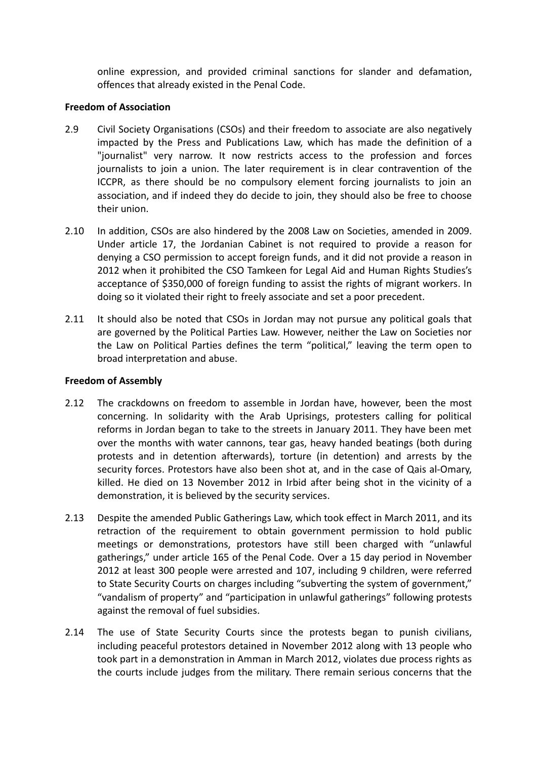online expression, and provided criminal sanctions for slander and defamation, offences that already existed in the Penal Code.

#### **Freedom of Association**

- 2.9 Civil Society Organisations (CSOs) and their freedom to associate are also negatively impacted by the Press and Publications Law, which has made the definition of a "journalist" very narrow. It now restricts access to the profession and forces journalists to join a union. The later requirement is in clear contravention of the ICCPR, as there should be no compulsory element forcing journalists to join an association, and if indeed they do decide to join, they should also be free to choose their union.
- 2.10 In addition, CSOs are also hindered by the 2008 Law on Societies, amended in 2009. Under article 17, the Jordanian Cabinet is not required to provide a reason for denying a CSO permission to accept foreign funds, and it did not provide a reason in 2012 when it prohibited the CSO Tamkeen for Legal Aid and Human Rights Studies's acceptance of \$350,000 of foreign funding to assist the rights of migrant workers. In doing so it violated their right to freely associate and set a poor precedent.
- 2.11 It should also be noted that CSOs in Jordan may not pursue any political goals that are governed by the Political Parties Law. However, neither the Law on Societies nor the Law on Political Parties defines the term "political," leaving the term open to broad interpretation and abuse.

#### **Freedom of Assembly**

- 2.12 The crackdowns on freedom to assemble in Jordan have, however, been the most concerning. In solidarity with the Arab Uprisings, protesters calling for political reforms in Jordan began to take to the streets in January 2011. They have been met over the months with water cannons, tear gas, heavy handed beatings (both during protests and in detention afterwards), torture (in detention) and arrests by the security forces. Protestors have also been shot at, and in the case of Qais al-Omary, killed. He died on 13 November 2012 in Irbid after being shot in the vicinity of a demonstration, it is believed by the security services.
- 2.13 Despite the amended Public Gatherings Law, which took effect in March 2011, and its retraction of the requirement to obtain government permission to hold public meetings or demonstrations, protestors have still been charged with "unlawful gatherings," under article 165 of the Penal Code. Over a 15 day period in November 2012 at least 300 people were arrested and 107, including 9 children, were referred to State Security Courts on charges including "subverting the system of government," "vandalism of property" and "participation in unlawful gatherings" following protests against the removal of fuel subsidies.
- 2.14 The use of State Security Courts since the protests began to punish civilians, including peaceful protestors detained in November 2012 along with 13 people who took part in a demonstration in Amman in March 2012, violates due process rights as the courts include judges from the military. There remain serious concerns that the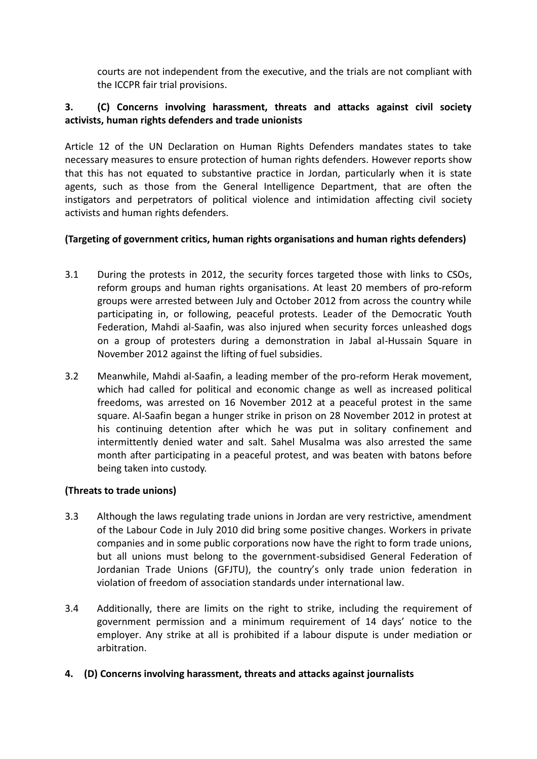courts are not independent from the executive, and the trials are not compliant with the ICCPR fair trial provisions.

# **3. (C) Concerns involving harassment, threats and attacks against civil society activists, human rights defenders and trade unionists**

Article 12 of the UN Declaration on Human Rights Defenders mandates states to take necessary measures to ensure protection of human rights defenders. However reports show that this has not equated to substantive practice in Jordan, particularly when it is state agents, such as those from the General Intelligence Department, that are often the instigators and perpetrators of political violence and intimidation affecting civil society activists and human rights defenders.

# **(Targeting of government critics, human rights organisations and human rights defenders)**

- 3.1 During the protests in 2012, the security forces targeted those with links to CSOs, reform groups and human rights organisations. At least 20 members of pro-reform groups were arrested between July and October 2012 from across the country while participating in, or following, peaceful protests. Leader of the Democratic Youth Federation, Mahdi al-Saafin, was also injured when security forces unleashed dogs on a group of protesters during a demonstration in Jabal al-Hussain Square in November 2012 against the lifting of fuel subsidies.
- 3.2 Meanwhile, Mahdi al-Saafin, a leading member of the pro-reform Herak movement, which had called for political and economic change as well as increased political freedoms, was arrested on 16 November 2012 at a peaceful protest in the same square. Al-Saafin began a hunger strike in prison on 28 November 2012 in protest at his continuing detention after which he was put in solitary confinement and intermittently denied water and salt. Sahel Musalma was also arrested the same month after participating in a peaceful protest, and was beaten with batons before being taken into custody.

## **(Threats to trade unions)**

- 3.3 Although the laws regulating trade unions in Jordan are very restrictive, amendment of the Labour Code in July 2010 did bring some positive changes. Workers in private companies and in some public corporations now have the right to form trade unions, but all unions must belong to the government-subsidised General Federation of Jordanian Trade Unions (GFJTU), the country's only trade union federation in violation of freedom of association standards under international law.
- 3.4 Additionally, there are limits on the right to strike, including the requirement of government permission and a minimum requirement of 14 days' notice to the employer. Any strike at all is prohibited if a labour dispute is under mediation or arbitration.
- **4. (D) Concerns involving harassment, threats and attacks against journalists**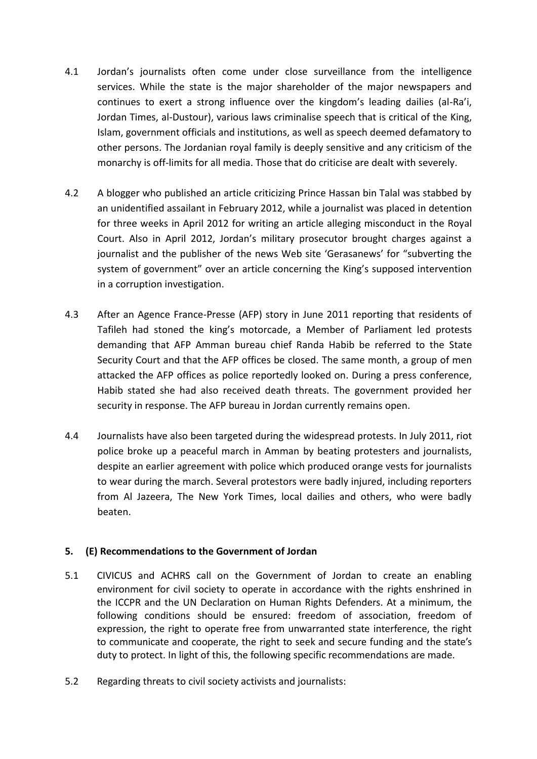- 4.1 Jordan's journalists often come under close surveillance from the intelligence services. While the state is the major shareholder of the major newspapers and continues to exert a strong influence over the kingdom's leading dailies (al-Ra'i, Jordan Times, al-Dustour), various laws criminalise speech that is critical of the King, Islam, government officials and institutions, as well as speech deemed defamatory to other persons. The Jordanian royal family is deeply sensitive and any criticism of the monarchy is off-limits for all media. Those that do criticise are dealt with severely.
- 4.2 A blogger who published an article criticizing Prince Hassan bin Talal was stabbed by an unidentified assailant in February 2012, while a journalist was placed in detention for three weeks in April 2012 for writing an article alleging misconduct in the Royal Court. Also in April 2012, Jordan's military prosecutor brought charges against a journalist and the publisher of the news Web site 'Gerasanews' for "subverting the system of government" over an article concerning the King's supposed intervention in a corruption investigation.
- 4.3 After an Agence France-Presse (AFP) story in June 2011 reporting that residents of Tafileh had stoned the king's motorcade, a Member of Parliament led protests demanding that AFP Amman bureau chief Randa Habib be referred to the State Security Court and that the AFP offices be closed. The same month, a group of men attacked the AFP offices as police reportedly looked on. During a press conference, Habib stated she had also received death threats. The government provided her security in response. The AFP bureau in Jordan currently remains open.
- 4.4 Journalists have also been targeted during the widespread protests. In July 2011, riot police broke up a peaceful march in Amman by beating protesters and journalists, despite an earlier agreement with police which produced orange vests for journalists to wear during the march. Several protestors were badly injured, including reporters from Al Jazeera, The New York Times, local dailies and others, who were badly beaten.

## **5. (E) Recommendations to the Government of Jordan**

- 5.1 CIVICUS and ACHRS call on the Government of Jordan to create an enabling environment for civil society to operate in accordance with the rights enshrined in the ICCPR and the UN Declaration on Human Rights Defenders. At a minimum, the following conditions should be ensured: freedom of association, freedom of expression, the right to operate free from unwarranted state interference, the right to communicate and cooperate, the right to seek and secure funding and the state's duty to protect. In light of this, the following specific recommendations are made.
- 5.2 Regarding threats to civil society activists and journalists: